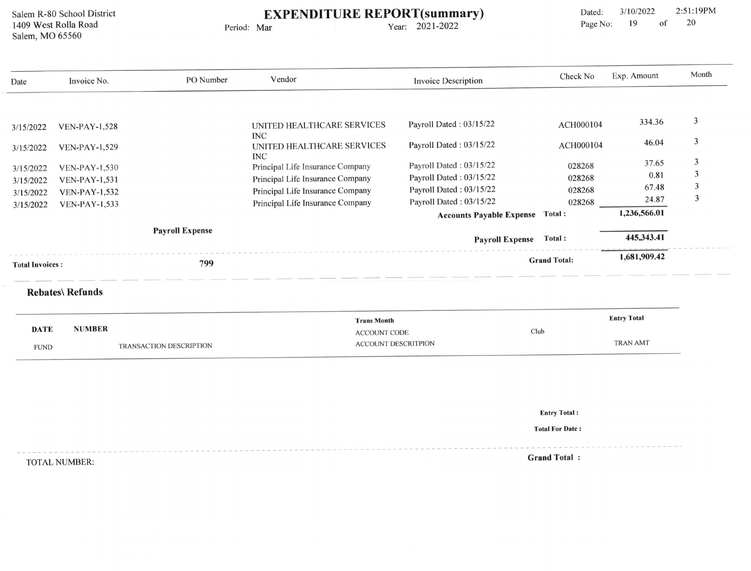Salem R-80 School District 1409 West Rolla Road Salem, MO 65560

## EXPENDITURE REPORT(summary)

Period: Mar

Year: 202l-2022

Dated: 3/10/2022 2:51:19PM<br>Page No: 19 of 20 Page No: 19 of

| Date                   | Invoice No.                                                                   | PO Number              | Vendor                                                    | <b>Invoice Description</b>             | Check No            | Exp. Amount        | Month |
|------------------------|-------------------------------------------------------------------------------|------------------------|-----------------------------------------------------------|----------------------------------------|---------------------|--------------------|-------|
|                        |                                                                               |                        |                                                           |                                        |                     |                    |       |
| 3/15/2022              | <b>VEN-PAY-1,528</b>                                                          |                        | UNITED HEALTHCARE SERVICES                                | Payroll Dated: 03/15/22                | ACH000104           | 334.36             | 3     |
| 3/15/2022              | <b>VEN-PAY-1,529</b>                                                          |                        | <b>INC</b><br>UNITED HEALTHCARE SERVICES<br><b>INC</b>    | Payroll Dated: 03/15/22                | ACH000104           | 46.04              | 3     |
| 3/15/2022              | <b>VEN-PAY-1,530</b>                                                          |                        | Principal Life Insurance Company                          | Payroll Dated: 03/15/22                | 028268              | 37.65              | 3     |
| 3/15/2022              | <b>VEN-PAY-1,531</b>                                                          |                        | Principal Life Insurance Company                          | Payroll Dated: 03/15/22                | 028268              | 0.81               | 3     |
| 3/15/2022              | <b>VEN-PAY-1,532</b>                                                          |                        | Principal Life Insurance Company                          | Payroll Dated: 03/15/22                | 028268              | 67.48              | 3     |
| 3/15/2022              | <b>VEN-PAY-1,533</b>                                                          |                        | Principal Life Insurance Company                          | Payroll Dated: 03/15/22                | 028268              | 24.87              | 3     |
|                        |                                                                               |                        |                                                           | <b>Accounts Payable Expense Total:</b> |                     | 1,236,566.01       |       |
|                        |                                                                               | <b>Payroll Expense</b> |                                                           | <b>Payroll Expense</b>                 | Total:              | 445,343.41         |       |
| <b>Total Invoices:</b> |                                                                               | 799                    |                                                           |                                        | <b>Grand Total:</b> | 1,681,909.42       |       |
|                        | <b>Rebates\ Refunds</b>                                                       |                        |                                                           |                                        |                     |                    |       |
|                        |                                                                               |                        | <b>Trans Month</b>                                        |                                        |                     | <b>Entry Total</b> |       |
|                        | <b>NUMBER</b><br><b>DATE</b><br><b>TRANSACTION DESCRIPTION</b><br><b>FUND</b> |                        | Club<br><b>ACCOUNT CODE</b><br><b>ACCOUNT DESCRITPION</b> |                                        |                     | <b>TRAN AMT</b>    |       |

Entry Total :

Total For Date :

TOTALNUMBER: Grand Total :